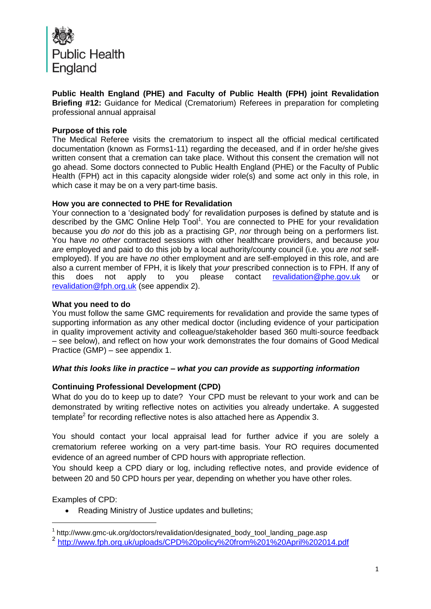

**Public Health England (PHE) and Faculty of Public Health (FPH) joint Revalidation Briefing #12:** Guidance for Medical (Crematorium) Referees in preparation for completing professional annual appraisal

#### **Purpose of this role**

The Medical Referee visits the crematorium to inspect all the official medical certificated documentation (known as Forms1-11) regarding the deceased, and if in order he/she gives written consent that a cremation can take place. Without this consent the cremation will not go ahead. Some doctors connected to Public Health England (PHE) or the Faculty of Public Health (FPH) act in this capacity alongside wider role(s) and some act only in this role, in which case it may be on a very part-time basis.

#### **How you are connected to PHE for Revalidation**

Your connection to a 'designated body' for revalidation purposes is defined by statute and is described by the GMC Online Help Tool<sup>1</sup>. You are connected to PHE for your revalidation because you *do not* do this job as a practising GP, *nor* through being on a performers list. You have *no other* contracted sessions with other healthcare providers, and because *you are* employed and paid to do this job by a local authority/county council (i.e. you *are not* selfemployed). If you are have *no* other employment and are self-employed in this role, and are also a current member of FPH, it is likely that *your* prescribed connection is to FPH. If any of this does not apply to you please contact [revalidation@phe.gov.uk](mailto:revalidation@phe.gov.uk) or [revalidation@fph.org.uk](mailto:revalidation@fph.org.uk) (see appendix 2).

#### **What you need to do**

You must follow the same GMC requirements for revalidation and provide the same types of supporting information as any other medical doctor (including evidence of your participation in quality improvement activity and colleague/stakeholder based 360 multi-source feedback – see below), and reflect on how your work demonstrates the four domains of Good Medical Practice (GMP) – see appendix 1.

## *What this looks like in practice – what you can provide as supporting information*

## **Continuing Professional Development (CPD)**

What do you do to keep up to date? Your CPD must be relevant to your work and can be demonstrated by writing reflective notes on activities you already undertake. A suggested template<sup>2</sup> for recording reflective notes is also attached here as Appendix 3.

You should contact your local appraisal lead for further advice if you are solely a crematorium referee working on a very part-time basis. Your RO requires documented evidence of an agreed number of CPD hours with appropriate reflection.

You should keep a CPD diary or log, including reflective notes, and provide evidence of between 20 and 50 CPD hours per year, depending on whether you have other roles.

Examples of CPD:

1

Reading Ministry of Justice updates and bulletins;

<sup>&</sup>lt;sup>1</sup> http://www.gmc-uk.org/doctors/revalidation/designated\_body\_tool\_landing\_page.asp

<sup>2</sup> <http://www.fph.org.uk/uploads/CPD%20policy%20from%201%20April%202014.pdf>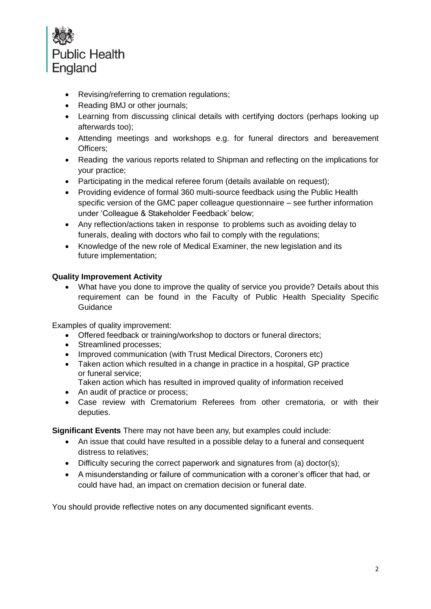

- Revising/referring to cremation regulations;
- Reading BMJ or other journals;
- Learning from discussing clinical details with certifying doctors (perhaps looking up afterwards too);
- Attending meetings and workshops e.g. for funeral directors and bereavement Officers;
- Reading the various reports related to Shipman and reflecting on the implications for your practice;
- Participating in the medical referee forum (details available on request):
- Providing evidence of formal 360 multi-source feedback using the Public Health specific version of the GMC paper colleague questionnaire – see further information under 'Colleague & Stakeholder Feedback' below;
- Any reflection/actions taken in response to problems such as avoiding delay to funerals, dealing with doctors who fail to comply with the regulations;
- Knowledge of the new role of Medical Examiner, the new legislation and its future implementation;

## **Quality Improvement Activity**

 What have you done to improve the quality of service you provide? Details about this requirement can be found in the Faculty of Public Health Speciality Specific Guidance

Examples of quality improvement:

- Offered feedback or training/workshop to doctors or funeral directors;
- Streamlined processes:
- Improved communication (with Trust Medical Directors, Coroners etc)
- Taken action which resulted in a change in practice in a hospital, GP practice or funeral service;
- Taken action which has resulted in improved quality of information received
- An audit of practice or process;
- Case review with Crematorium Referees from other crematoria, or with their deputies.

**Significant Events** There may not have been any, but examples could include:

- An issue that could have resulted in a possible delay to a funeral and consequent distress to relatives;
- Difficulty securing the correct paperwork and signatures from (a) doctor(s);
- A misunderstanding or failure of communication with a coroner's officer that had, or could have had, an impact on cremation decision or funeral date.

You should provide reflective notes on any documented significant events.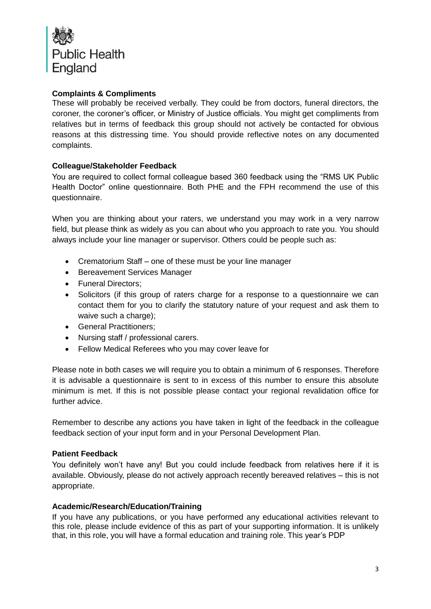

# **Complaints & Compliments**

These will probably be received verbally. They could be from doctors, funeral directors, the coroner, the coroner's officer, or Ministry of Justice officials. You might get compliments from relatives but in terms of feedback this group should not actively be contacted for obvious reasons at this distressing time. You should provide reflective notes on any documented complaints.

## **Colleague/Stakeholder Feedback**

You are required to collect formal colleague based 360 feedback using the "RMS UK Public Health Doctor" online questionnaire. Both PHE and the FPH recommend the use of this questionnaire.

When you are thinking about your raters, we understand you may work in a very narrow field, but please think as widely as you can about who you approach to rate you. You should always include your line manager or supervisor. Others could be people such as:

- Crematorium Staff one of these must be your line manager
- Bereavement Services Manager
- Funeral Directors:
- Solicitors (if this group of raters charge for a response to a questionnaire we can contact them for you to clarify the statutory nature of your request and ask them to waive such a charge);
- General Practitioners:
- Nursing staff / professional carers.
- Fellow Medical Referees who you may cover leave for

Please note in both cases we will require you to obtain a minimum of 6 responses. Therefore it is advisable a questionnaire is sent to in excess of this number to ensure this absolute minimum is met. If this is not possible please contact your regional revalidation office for further advice.

Remember to describe any actions you have taken in light of the feedback in the colleague feedback section of your input form and in your Personal Development Plan.

## **Patient Feedback**

You definitely won't have any! But you could include feedback from relatives here if it is available. Obviously, please do not actively approach recently bereaved relatives – this is not appropriate.

## **Academic/Research/Education/Training**

If you have any publications, or you have performed any educational activities relevant to this role, please include evidence of this as part of your supporting information. It is unlikely that, in this role, you will have a formal education and training role. This year's PDP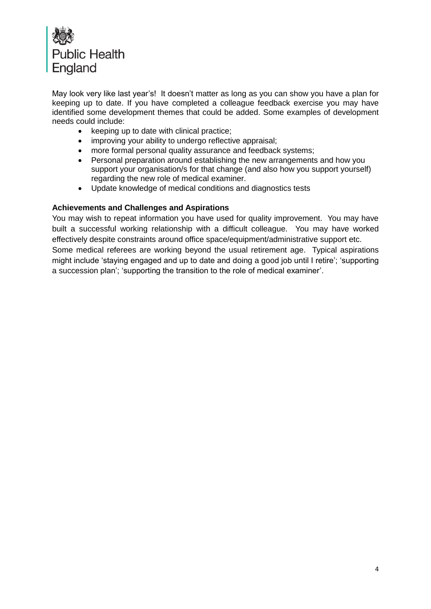

May look very like last year's! It doesn't matter as long as you can show you have a plan for keeping up to date. If you have completed a colleague feedback exercise you may have identified some development themes that could be added. Some examples of development needs could include:

- $\bullet$  keeping up to date with clinical practice;
- improving your ability to undergo reflective appraisal;
- more formal personal quality assurance and feedback systems;
- Personal preparation around establishing the new arrangements and how you support your organisation/s for that change (and also how you support yourself) regarding the new role of medical examiner.
- Update knowledge of medical conditions and diagnostics tests

## **Achievements and Challenges and Aspirations**

You may wish to repeat information you have used for quality improvement. You may have built a successful working relationship with a difficult colleague. You may have worked effectively despite constraints around office space/equipment/administrative support etc. Some medical referees are working beyond the usual retirement age. Typical aspirations might include 'staying engaged and up to date and doing a good job until I retire'; 'supporting a succession plan'; 'supporting the transition to the role of medical examiner'.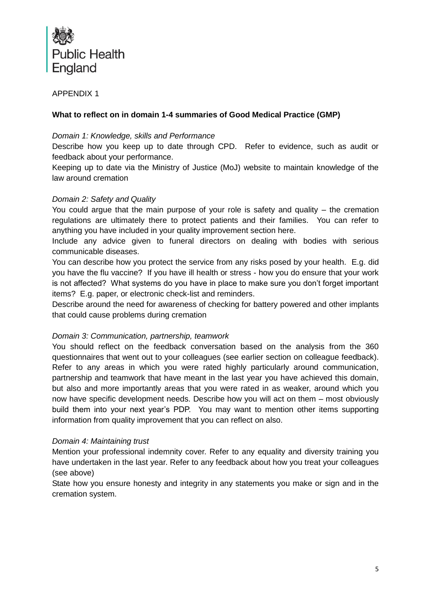

APPENDIX 1

## **What to reflect on in domain 1-4 summaries of Good Medical Practice (GMP)**

#### *Domain 1: Knowledge, skills and Performance*

Describe how you keep up to date through CPD. Refer to evidence, such as audit or feedback about your performance.

Keeping up to date via the Ministry of Justice (MoJ) website to maintain knowledge of the law around cremation

## *Domain 2: Safety and Quality*

You could argue that the main purpose of your role is safety and quality – the cremation regulations are ultimately there to protect patients and their families. You can refer to anything you have included in your quality improvement section here.

Include any advice given to funeral directors on dealing with bodies with serious communicable diseases.

You can describe how you protect the service from any risks posed by your health. E.g. did you have the flu vaccine? If you have ill health or stress - how you do ensure that your work is not affected? What systems do you have in place to make sure you don't forget important items? E.g. paper, or electronic check-list and reminders.

Describe around the need for awareness of checking for battery powered and other implants that could cause problems during cremation

## *Domain 3: Communication, partnership, teamwork*

You should reflect on the feedback conversation based on the analysis from the 360 questionnaires that went out to your colleagues (see earlier section on colleague feedback). Refer to any areas in which you were rated highly particularly around communication, partnership and teamwork that have meant in the last year you have achieved this domain, but also and more importantly areas that you were rated in as weaker, around which you now have specific development needs. Describe how you will act on them – most obviously build them into your next year's PDP. You may want to mention other items supporting information from quality improvement that you can reflect on also.

## *Domain 4: Maintaining trust*

Mention your professional indemnity cover. Refer to any equality and diversity training you have undertaken in the last year. Refer to any feedback about how you treat your colleagues (see above)

State how you ensure honesty and integrity in any statements you make or sign and in the cremation system.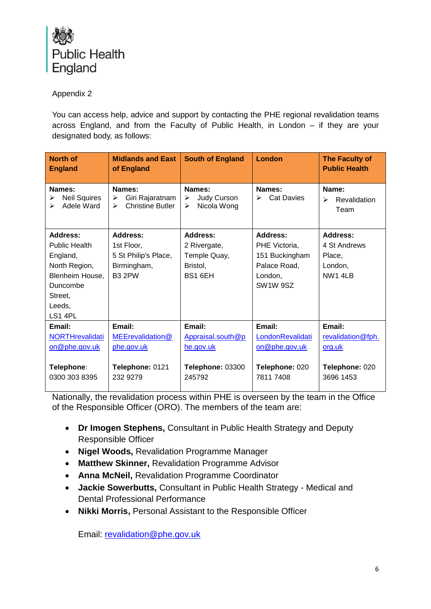

# Appendix 2

You can access help, advice and support by contacting the PHE regional revalidation teams across England, and from the Faculty of Public Health, in London – if they are your designated body, as follows:

| <b>North of</b><br><b>England</b>                                                                                     | <b>Midlands and East</b><br>of England                                         | <b>South of England</b>                                                | London                                                                                                      | <b>The Faculty of</b><br><b>Public Health</b>                        |
|-----------------------------------------------------------------------------------------------------------------------|--------------------------------------------------------------------------------|------------------------------------------------------------------------|-------------------------------------------------------------------------------------------------------------|----------------------------------------------------------------------|
| Names:<br><b>Neil Squires</b><br>Adele Ward<br>➤                                                                      | Names:<br>Giri Rajaratnam<br>≻<br><b>Christine Butler</b><br>↘                 | Names:<br>Judy Curson<br>≻<br>Nicola Wong<br>⋗                         | Names:<br><b>Cat Davies</b><br>⋗                                                                            | Name:<br>Revalidation<br>↘<br>Team                                   |
| Address:<br>Public Health<br>England,<br>North Region,<br>Blenheim House.<br>Duncombe<br>Street,<br>Leeds,<br>LS1 4PL | Address:<br>1st Floor,<br>5 St Philip's Place,<br>Birmingham,<br><b>B3 2PW</b> | Address:<br>2 Rivergate,<br>Temple Quay,<br>Bristol,<br>BS1 6EH        | Address:<br>PHE Victoria,<br>151 Buckingham<br>Palace Road,<br>London.<br>SW <sub>1</sub> W <sub>9</sub> SZ | Address:<br>4 St Andrews<br>Place.<br>London,<br>NW1 4LB             |
| Email:<br><b>NORTHrevalidati</b><br>on@phe.gov.uk<br>Telephone:<br>0300 303 8395                                      | Email:<br>MEErevalidation@<br>phe.gov.uk<br>Telephone: 0121<br>232 9279        | Email:<br>Appraisal.south@p<br>he.gov.uk<br>Telephone: 03300<br>245792 | Email:<br>LondonRevalidati<br>on@phe.gov.uk<br>Telephone: 020<br>7811 7408                                  | Email:<br>revalidation@fph.<br>org.uk<br>Telephone: 020<br>3696 1453 |

Nationally, the revalidation process within PHE is overseen by the team in the Office of the Responsible Officer (ORO). The members of the team are:

- **Dr Imogen Stephens,** Consultant in Public Health Strategy and Deputy Responsible Officer
- **Nigel Woods,** Revalidation Programme Manager
- **Matthew Skinner,** Revalidation Programme Advisor
- **Anna McNeil,** Revalidation Programme Coordinator
- **Jackie Sowerbutts,** Consultant in Public Health Strategy Medical and Dental Professional Performance
- **Nikki Morris,** Personal Assistant to the Responsible Officer

Email: [revalidation@phe.gov.uk](mailto:revalidation@phe.gov.uk)